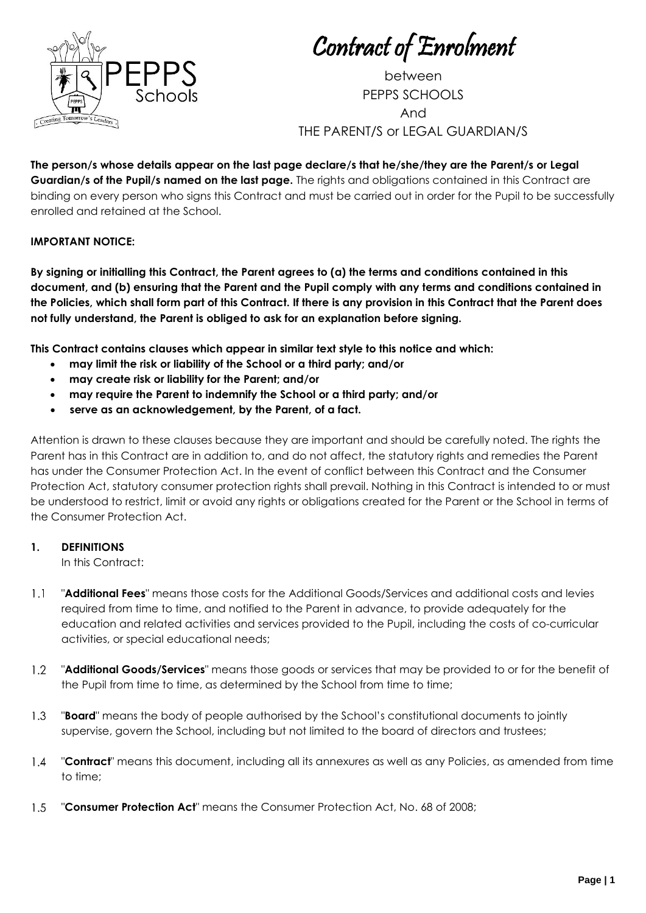

Contract of Enrolment

between PEPPS SCHOOLS And THE PARENT/S or LEGAL GUARDIAN/S

**The person/s whose details appear on the last page declare/s that he/she/they are the Parent/s or Legal Guardian/s of the Pupil/s named on the last page.** The rights and obligations contained in this Contract are binding on every person who signs this Contract and must be carried out in order for the Pupil to be successfully enrolled and retained at the School.

### **IMPORTANT NOTICE:**

**By signing or initialling this Contract, the Parent agrees to (a) the terms and conditions contained in this document, and (b) ensuring that the Parent and the Pupil comply with any terms and conditions contained in the Policies, which shall form part of this Contract. If there is any provision in this Contract that the Parent does not fully understand, the Parent is obliged to ask for an explanation before signing.**

**This Contract contains clauses which appear in similar text style to this notice and which:**

- **may limit the risk or liability of the School or a third party; and/or**
- **may create risk or liability for the Parent; and/or**
- **may require the Parent to indemnify the School or a third party; and/or**
- **serve as an acknowledgement, by the Parent, of a fact.**

Attention is drawn to these clauses because they are important and should be carefully noted. The rights the Parent has in this Contract are in addition to, and do not affect, the statutory rights and remedies the Parent has under the Consumer Protection Act. In the event of conflict between this Contract and the Consumer Protection Act, statutory consumer protection rights shall prevail. Nothing in this Contract is intended to or must be understood to restrict, limit or avoid any rights or obligations created for the Parent or the School in terms of the Consumer Protection Act.

### **1. DEFINITIONS**

In this Contract:

- $1.1$ "**Additional Fees**" means those costs for the Additional Goods/Services and additional costs and levies required from time to time, and notified to the Parent in advance, to provide adequately for the education and related activities and services provided to the Pupil, including the costs of co-curricular activities, or special educational needs;
- $1.2$ "**Additional Goods/Services**" means those goods or services that may be provided to or for the benefit of the Pupil from time to time, as determined by the School from time to time;
- $1.3$ "**Board**" means the body of people authorised by the School's constitutional documents to jointly supervise, govern the School, including but not limited to the board of directors and trustees;
- $1.4$ "**Contract**" means this document, including all its annexures as well as any Policies, as amended from time to time;
- "**Consumer Protection Act**" means the Consumer Protection Act, No. 68 of 2008; $1.5$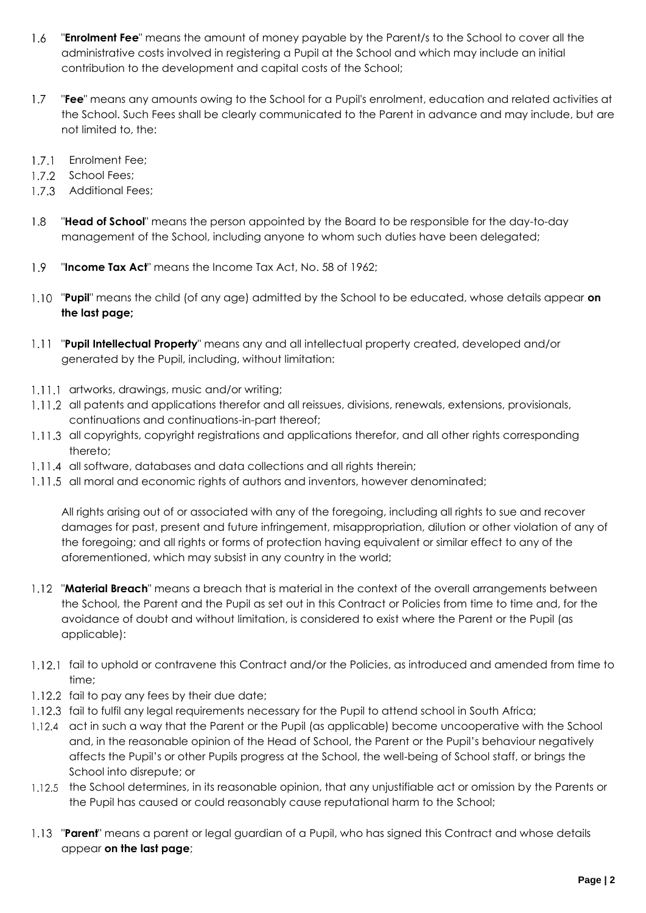- "**Enrolment Fee**" means the amount of money payable by the Parent/s to the School to cover all the  $1.6$ administrative costs involved in registering a Pupil at the School and which may include an initial contribution to the development and capital costs of the School;
- $1.7$ "**Fee**" means any amounts owing to the School for a Pupil's enrolment, education and related activities at the School. Such Fees shall be clearly communicated to the Parent in advance and may include, but are not limited to, the:
- 1.7.1 Enrolment Fee;
- 1.7.2 School Fees;
- 1.7.3 Additional Fees;
- $1.8$ "**Head of School**" means the person appointed by the Board to be responsible for the day-to-day management of the School, including anyone to whom such duties have been delegated;
- 1.9 "**Income Tax Act**" means the Income Tax Act, No. 58 of 1962;
- "**Pupil**" means the child (of any age) admitted by the School to be educated, whose details appear **on the last page;**
- "**Pupil Intellectual Property**" means any and all intellectual property created, developed and/or generated by the Pupil, including, without limitation:
- 1.11.1 artworks, drawings, music and/or writing;
- 1.11.2 all patents and applications therefor and all reissues, divisions, renewals, extensions, provisionals, continuations and continuations-in-part thereof;
- 1.11.3 all copyrights, copyright registrations and applications therefor, and all other rights corresponding thereto;
- 1.11.4 all software, databases and data collections and all rights therein;
- 1.11.5 all moral and economic rights of authors and inventors, however denominated;

All rights arising out of or associated with any of the foregoing, including all rights to sue and recover damages for past, present and future infringement, misappropriation, dilution or other violation of any of the foregoing; and all rights or forms of protection having equivalent or similar effect to any of the aforementioned, which may subsist in any country in the world;

- 1.12 "Material Breach" means a breach that is material in the context of the overall arrangements between the School, the Parent and the Pupil as set out in this Contract or Policies from time to time and, for the avoidance of doubt and without limitation, is considered to exist where the Parent or the Pupil (as applicable):
- 1.12.1 fail to uphold or contravene this Contract and/or the Policies, as introduced and amended from time to time;
- 1.12.2 fail to pay any fees by their due date;
- 1.12.3 fail to fulfil any legal requirements necessary for the Pupil to attend school in South Africa;
- 1.12.4 act in such a way that the Parent or the Pupil (as applicable) become uncooperative with the School and, in the reasonable opinion of the Head of School, the Parent or the Pupil's behaviour negatively affects the Pupil's or other Pupils progress at the School, the well-being of School staff, or brings the School into disrepute; or
- 1.12.5 the School determines, in its reasonable opinion, that any unjustifiable act or omission by the Parents or the Pupil has caused or could reasonably cause reputational harm to the School;
- 1.13 "**Parent**" means a parent or legal guardian of a Pupil, who has signed this Contract and whose details appear **on the last page**;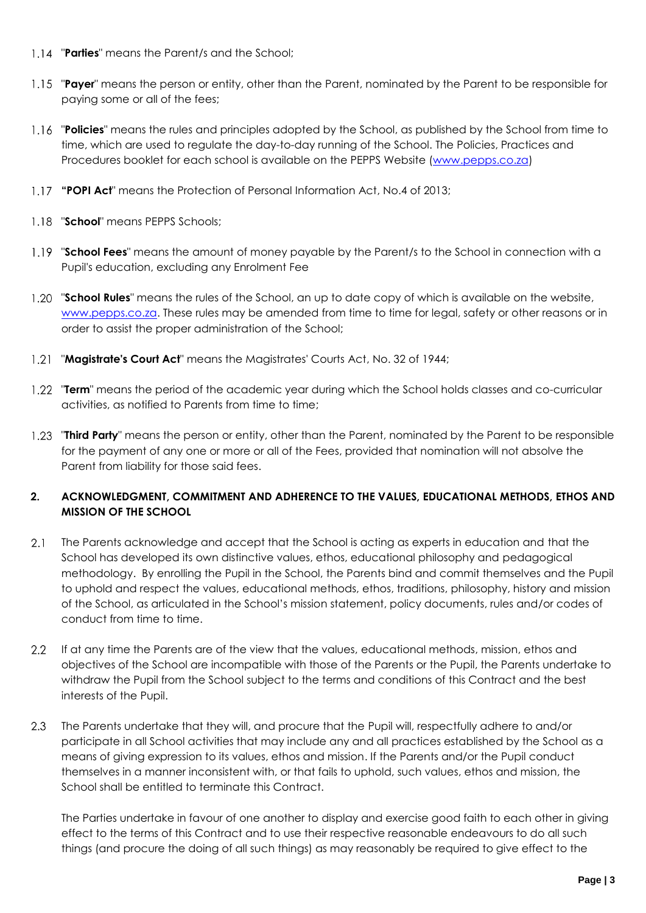- 1.14 "**Parties**" means the Parent/s and the School;
- 1.15 "**Payer**" means the person or entity, other than the Parent, nominated by the Parent to be responsible for paying some or all of the fees;
- "**Policies**" means the rules and principles adopted by the School, as published by the School from time to time, which are used to regulate the day-to-day running of the School. The Policies, Practices and Procedures booklet for each school is available on the PEPPS Website [\(www.pepps.co.za\)](http://www.pepps.co.za/)
- **"POPI Act**" means the Protection of Personal Information Act, No.4 of 2013;
- "**School**" means PEPPS Schools;
- "**School Fees**" means the amount of money payable by the Parent/s to the School in connection with a Pupil's education, excluding any Enrolment Fee
- "**School Rules**" means the rules of the School, an up to date copy of which is available on the website, [www.pepps.co.za.](http://www.pepps.co.za/) These rules may be amended from time to time for legal, safety or other reasons or in order to assist the proper administration of the School;
- "**Magistrate's Court Act**" means the Magistrates' Courts Act, No. 32 of 1944;
- 1.22 "Term" means the period of the academic year during which the School holds classes and co-curricular activities, as notified to Parents from time to time;
- 1.23 **"Third Party**" means the person or entity, other than the Parent, nominated by the Parent to be responsible for the payment of any one or more or all of the Fees, provided that nomination will not absolve the Parent from liability for those said fees.

### **2. ACKNOWLEDGMENT, COMMITMENT AND ADHERENCE TO THE VALUES, EDUCATIONAL METHODS, ETHOS AND MISSION OF THE SCHOOL**

- $2.1$ The Parents acknowledge and accept that the School is acting as experts in education and that the School has developed its own distinctive values, ethos, educational philosophy and pedagogical methodology. By enrolling the Pupil in the School, the Parents bind and commit themselves and the Pupil to uphold and respect the values, educational methods, ethos, traditions, philosophy, history and mission of the School, as articulated in the School's mission statement, policy documents, rules and/or codes of conduct from time to time.
- 2.2 If at any time the Parents are of the view that the values, educational methods, mission, ethos and objectives of the School are incompatible with those of the Parents or the Pupil, the Parents undertake to withdraw the Pupil from the School subject to the terms and conditions of this Contract and the best interests of the Pupil.
- $2.3$ The Parents undertake that they will, and procure that the Pupil will, respectfully adhere to and/or participate in all School activities that may include any and all practices established by the School as a means of giving expression to its values, ethos and mission. If the Parents and/or the Pupil conduct themselves in a manner inconsistent with, or that fails to uphold, such values, ethos and mission, the School shall be entitled to terminate this Contract.

The Parties undertake in favour of one another to display and exercise good faith to each other in giving effect to the terms of this Contract and to use their respective reasonable endeavours to do all such things (and procure the doing of all such things) as may reasonably be required to give effect to the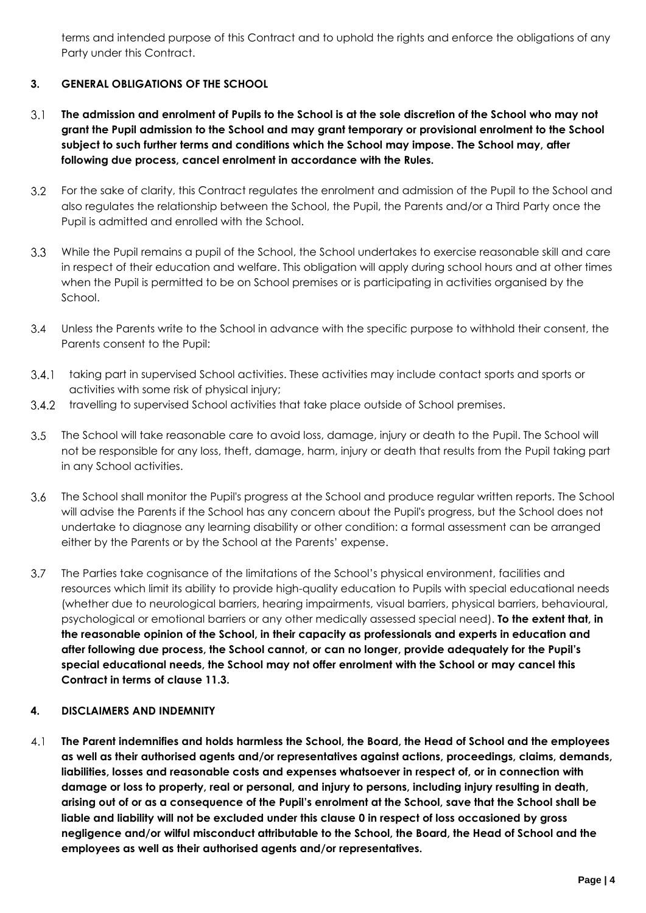terms and intended purpose of this Contract and to uphold the rights and enforce the obligations of any Party under this Contract.

# **3. GENERAL OBLIGATIONS OF THE SCHOOL**

- $3.1$ **The admission and enrolment of Pupils to the School is at the sole discretion of the School who may not grant the Pupil admission to the School and may grant temporary or provisional enrolment to the School subject to such further terms and conditions which the School may impose. The School may, after following due process, cancel enrolment in accordance with the Rules.**
- $3.2$ For the sake of clarity, this Contract regulates the enrolment and admission of the Pupil to the School and also regulates the relationship between the School, the Pupil, the Parents and/or a Third Party once the Pupil is admitted and enrolled with the School.
- $3.3<sub>2</sub>$ While the Pupil remains a pupil of the School, the School undertakes to exercise reasonable skill and care in respect of their education and welfare. This obligation will apply during school hours and at other times when the Pupil is permitted to be on School premises or is participating in activities organised by the School.
- Unless the Parents write to the School in advance with the specific purpose to withhold their consent, the Parents consent to the Pupil:
- 3.4.1 taking part in supervised School activities. These activities may include contact sports and sports or activities with some risk of physical injury;
- 3.4.2 travelling to supervised School activities that take place outside of School premises.
- $3.5$ The School will take reasonable care to avoid loss, damage, injury or death to the Pupil. The School will not be responsible for any loss, theft, damage, harm, injury or death that results from the Pupil taking part in any School activities.
- $3.6$ The School shall monitor the Pupil's progress at the School and produce regular written reports. The School will advise the Parents if the School has any concern about the Pupil's progress, but the School does not undertake to diagnose any learning disability or other condition: a formal assessment can be arranged either by the Parents or by the School at the Parents' expense.
- $3.7$ The Parties take cognisance of the limitations of the School's physical environment, facilities and resources which limit its ability to provide high-quality education to Pupils with special educational needs (whether due to neurological barriers, hearing impairments, visual barriers, physical barriers, behavioural, psychological or emotional barriers or any other medically assessed special need). **To the extent that, in the reasonable opinion of the School, in their capacity as professionals and experts in education and after following due process, the School cannot, or can no longer, provide adequately for the Pupil's special educational needs, the School may not offer enrolment with the School or may cancel this Contract in terms of clause 11.3.**

### <span id="page-3-0"></span>**4. DISCLAIMERS AND INDEMNITY**

 $4,1$ **The Parent indemnifies and holds harmless the School, the Board, the Head of School and the employees as well as their authorised agents and/or representatives against actions, proceedings, claims, demands, liabilities, losses and reasonable costs and expenses whatsoever in respect of, or in connection with damage or loss to property, real or personal, and injury to persons, including injury resulting in death, arising out of or as a consequence of the Pupil's enrolment at the School, save that the School shall be liable and liability will not be excluded under this clause [0](#page-3-0) in respect of loss occasioned by gross negligence and/or wilful misconduct attributable to the School, the Board, the Head of School and the employees as well as their authorised agents and/or representatives.**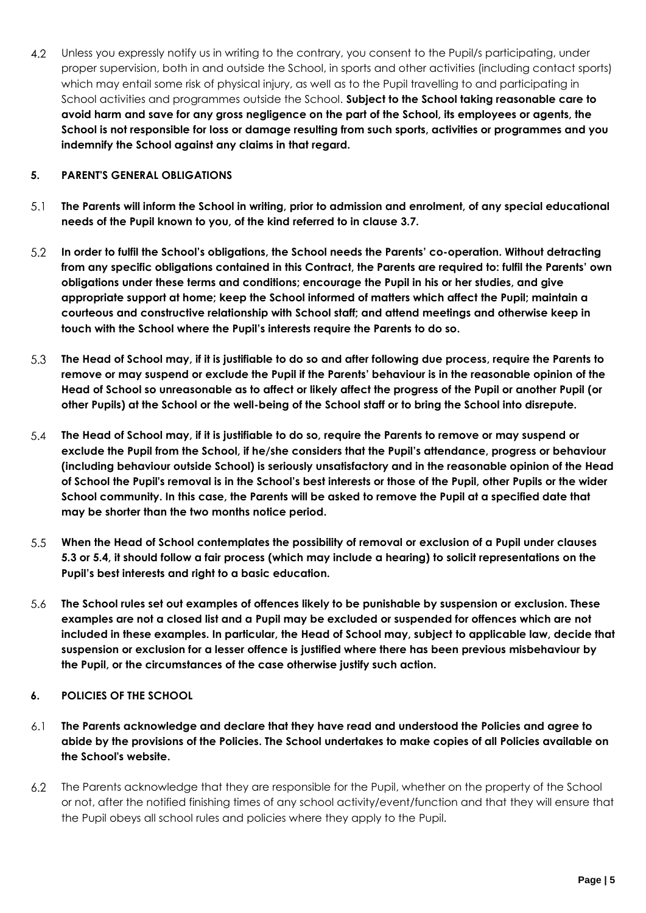$4.2$ Unless you expressly notify us in writing to the contrary, you consent to the Pupil/s participating, under proper supervision, both in and outside the School, in sports and other activities (including contact sports) which may entail some risk of physical injury, as well as to the Pupil travelling to and participating in School activities and programmes outside the School. **Subject to the School taking reasonable care to avoid harm and save for any gross negligence on the part of the School, its employees or agents, the School is not responsible for loss or damage resulting from such sports, activities or programmes and you indemnify the School against any claims in that regard.**

#### **5. PARENT'S GENERAL OBLIGATIONS**

- $5.1$ **The Parents will inform the School in writing, prior to admission and enrolment, of any special educational needs of the Pupil known to you, of the kind referred to in clause 3.7.**
- $5.2$ **In order to fulfil the School's obligations, the School needs the Parents' co-operation. Without detracting from any specific obligations contained in this Contract, the Parents are required to: fulfil the Parents' own obligations under these terms and conditions; encourage the Pupil in his or her studies, and give appropriate support at home; keep the School informed of matters which affect the Pupil; maintain a courteous and constructive relationship with School staff; and attend meetings and otherwise keep in touch with the School where the Pupil's interests require the Parents to do so.**
- $5.3$ **The Head of School may, if it is justifiable to do so and after following due process, require the Parents to remove or may suspend or exclude the Pupil if the Parents' behaviour is in the reasonable opinion of the Head of School so unreasonable as to affect or likely affect the progress of the Pupil or another Pupil (or other Pupils) at the School or the well-being of the School staff or to bring the School into disrepute.**
- 5.4 **The Head of School may, if it is justifiable to do so, require the Parents to remove or may suspend or exclude the Pupil from the School, if he/she considers that the Pupil's attendance, progress or behaviour (including behaviour outside School) is seriously unsatisfactory and in the reasonable opinion of the Head of School the Pupil's removal is in the School's best interests or those of the Pupil, other Pupils or the wider School community. In this case, the Parents will be asked to remove the Pupil at a specified date that may be shorter than the two months notice period.**
- $5.5$ **When the Head of School contemplates the possibility of removal or exclusion of a Pupil under clauses 5.3 or 5.4, it should follow a fair process (which may include a hearing) to solicit representations on the Pupil's best interests and right to a basic education.**
- 5.6 **The School rules set out examples of offences likely to be punishable by suspension or exclusion. These examples are not a closed list and a Pupil may be excluded or suspended for offences which are not included in these examples. In particular, the Head of School may, subject to applicable law, decide that suspension or exclusion for a lesser offence is justified where there has been previous misbehaviour by the Pupil, or the circumstances of the case otherwise justify such action.**
- **6. POLICIES OF THE SCHOOL**
- $6.1$ **The Parents acknowledge and declare that they have read and understood the Policies and agree to abide by the provisions of the Policies. The School undertakes to make copies of all Policies available on the School's website.**
- $6.2$ The Parents acknowledge that they are responsible for the Pupil, whether on the property of the School or not, after the notified finishing times of any school activity/event/function and that they will ensure that the Pupil obeys all school rules and policies where they apply to the Pupil.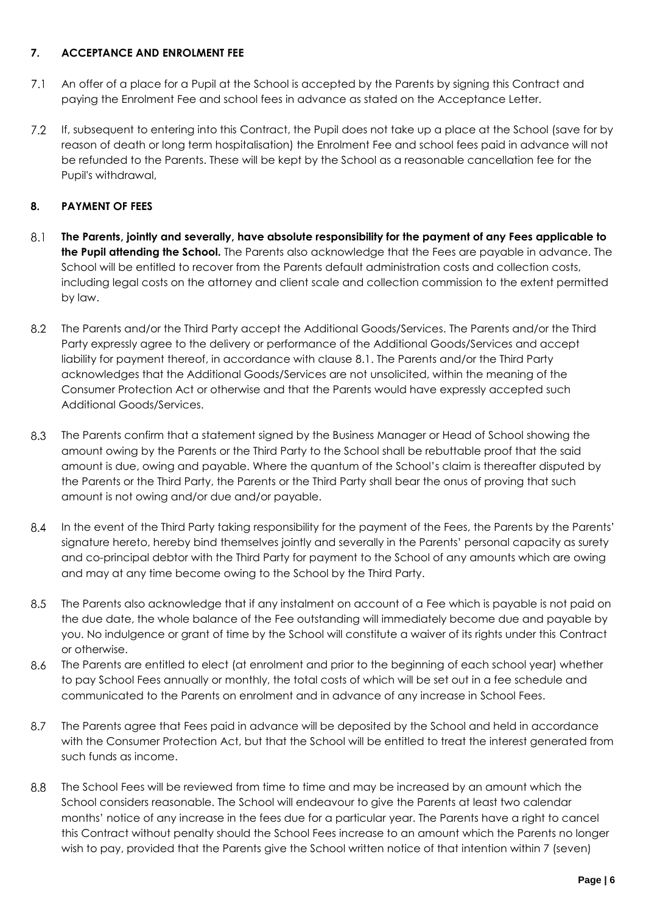### **7. ACCEPTANCE AND ENROLMENT FEE**

- $7.1$ An offer of a place for a Pupil at the School is accepted by the Parents by signing this Contract and paying the Enrolment Fee and school fees in advance as stated on the Acceptance Letter.
- $7.2$ If, subsequent to entering into this Contract, the Pupil does not take up a place at the School (save for by reason of death or long term hospitalisation) the Enrolment Fee and school fees paid in advance will not be refunded to the Parents. These will be kept by the School as a reasonable cancellation fee for the Pupil's withdrawal,

# **8. PAYMENT OF FEES**

- $8.1$ **The Parents, jointly and severally, have absolute responsibility for the payment of any Fees applicable to the Pupil attending the School.** The Parents also acknowledge that the Fees are payable in advance. The School will be entitled to recover from the Parents default administration costs and collection costs, including legal costs on the attorney and client scale and collection commission to the extent permitted by law.
- $8.2$ The Parents and/or the Third Party accept the Additional Goods/Services. The Parents and/or the Third Party expressly agree to the delivery or performance of the Additional Goods/Services and accept liability for payment thereof, in accordance with clause 8.1. The Parents and/or the Third Party acknowledges that the Additional Goods/Services are not unsolicited, within the meaning of the Consumer Protection Act or otherwise and that the Parents would have expressly accepted such Additional Goods/Services.
- $8.3$ The Parents confirm that a statement signed by the Business Manager or Head of School showing the amount owing by the Parents or the Third Party to the School shall be rebuttable proof that the said amount is due, owing and payable. Where the quantum of the School's claim is thereafter disputed by the Parents or the Third Party, the Parents or the Third Party shall bear the onus of proving that such amount is not owing and/or due and/or payable.
- $8.4$ In the event of the Third Party taking responsibility for the payment of the Fees, the Parents by the Parents' signature hereto, hereby bind themselves jointly and severally in the Parents' personal capacity as surety and co-principal debtor with the Third Party for payment to the School of any amounts which are owing and may at any time become owing to the School by the Third Party.
- $8.5$ The Parents also acknowledge that if any instalment on account of a Fee which is payable is not paid on the due date, the whole balance of the Fee outstanding will immediately become due and payable by you. No indulgence or grant of time by the School will constitute a waiver of its rights under this Contract or otherwise.
- 8.6 The Parents are entitled to elect (at enrolment and prior to the beginning of each school year) whether to pay School Fees annually or monthly, the total costs of which will be set out in a fee schedule and communicated to the Parents on enrolment and in advance of any increase in School Fees.
- 8.7 The Parents agree that Fees paid in advance will be deposited by the School and held in accordance with the Consumer Protection Act, but that the School will be entitled to treat the interest generated from such funds as income.
- 8.8 The School Fees will be reviewed from time to time and may be increased by an amount which the School considers reasonable. The School will endeavour to give the Parents at least two calendar months' notice of any increase in the fees due for a particular year. The Parents have a right to cancel this Contract without penalty should the School Fees increase to an amount which the Parents no longer wish to pay, provided that the Parents give the School written notice of that intention within 7 (seven)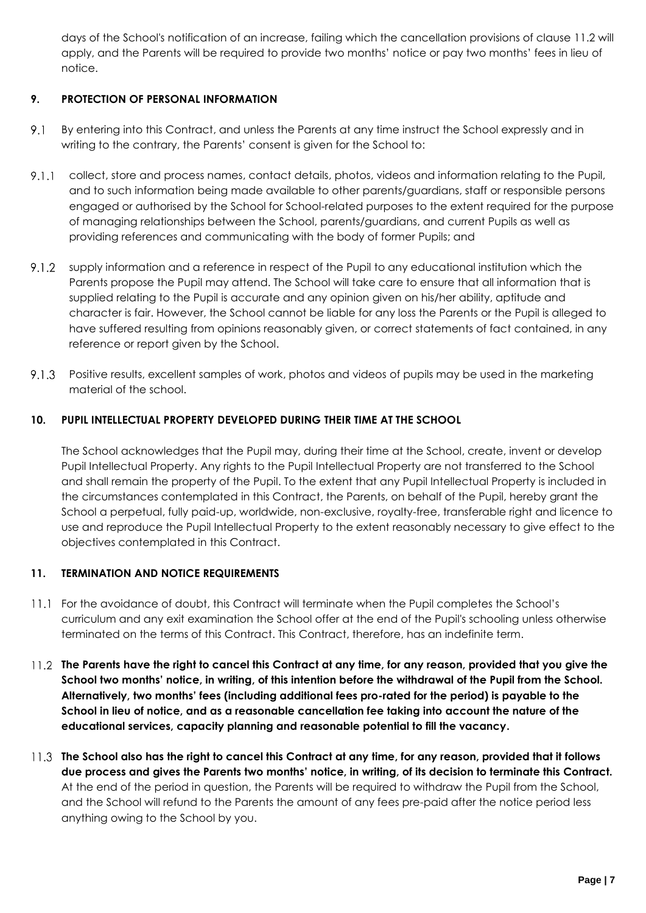days of the School's notification of an increase, failing which the cancellation provisions of clause 11.2 will apply, and the Parents will be required to provide two months' notice or pay two months' fees in lieu of notice.

# **9. PROTECTION OF PERSONAL INFORMATION**

- $9.1$ By entering into this Contract, and unless the Parents at any time instruct the School expressly and in writing to the contrary, the Parents' consent is given for the School to:
- collect, store and process names, contact details, photos, videos and information relating to the Pupil, and to such information being made available to other parents/guardians, staff or responsible persons engaged or authorised by the School for School-related purposes to the extent required for the purpose of managing relationships between the School, parents/guardians, and current Pupils as well as providing references and communicating with the body of former Pupils; and
- $9.1.2$ supply information and a reference in respect of the Pupil to any educational institution which the Parents propose the Pupil may attend. The School will take care to ensure that all information that is supplied relating to the Pupil is accurate and any opinion given on his/her ability, aptitude and character is fair. However, the School cannot be liable for any loss the Parents or the Pupil is alleged to have suffered resulting from opinions reasonably given, or correct statements of fact contained, in any reference or report given by the School.
- 9.1.3 Positive results, excellent samples of work, photos and videos of pupils may be used in the marketing material of the school.

### **10. PUPIL INTELLECTUAL PROPERTY DEVELOPED DURING THEIR TIME AT THE SCHOOL**

The School acknowledges that the Pupil may, during their time at the School, create, invent or develop Pupil Intellectual Property. Any rights to the Pupil Intellectual Property are not transferred to the School and shall remain the property of the Pupil. To the extent that any Pupil Intellectual Property is included in the circumstances contemplated in this Contract, the Parents, on behalf of the Pupil, hereby grant the School a perpetual, fully paid-up, worldwide, non-exclusive, royalty-free, transferable right and licence to use and reproduce the Pupil Intellectual Property to the extent reasonably necessary to give effect to the objectives contemplated in this Contract.

### **11. TERMINATION AND NOTICE REQUIREMENTS**

- For the avoidance of doubt, this Contract will terminate when the Pupil completes the School's curriculum and any exit examination the School offer at the end of the Pupil's schooling unless otherwise terminated on the terms of this Contract. This Contract, therefore, has an indefinite term.
- **The Parents have the right to cancel this Contract at any time, for any reason, provided that you give the School two months' notice, in writing, of this intention before the withdrawal of the Pupil from the School. Alternatively, two months' fees (including additional fees pro-rated for the period) is payable to the School in lieu of notice, and as a reasonable cancellation fee taking into account the nature of the educational services, capacity planning and reasonable potential to fill the vacancy.**
- **The School also has the right to cancel this Contract at any time, for any reason, provided that it follows due process and gives the Parents two months' notice, in writing, of its decision to terminate this Contract.** At the end of the period in question, the Parents will be required to withdraw the Pupil from the School, and the School will refund to the Parents the amount of any fees pre-paid after the notice period less anything owing to the School by you.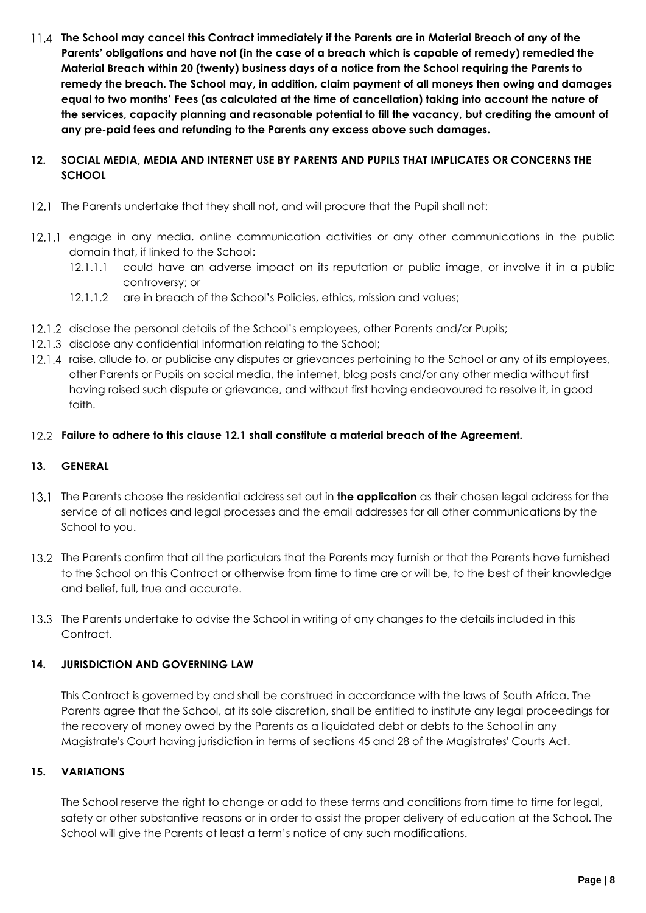**The School may cancel this Contract immediately if the Parents are in Material Breach of any of the Parents' obligations and have not (in the case of a breach which is capable of remedy) remedied the Material Breach within 20 (twenty) business days of a notice from the School requiring the Parents to remedy the breach. The School may, in addition, claim payment of all moneys then owing and damages equal to two months' Fees (as calculated at the time of cancellation) taking into account the nature of the services, capacity planning and reasonable potential to fill the vacancy, but crediting the amount of any pre-paid fees and refunding to the Parents any excess above such damages.**

### **12. SOCIAL MEDIA, MEDIA AND INTERNET USE BY PARENTS AND PUPILS THAT IMPLICATES OR CONCERNS THE SCHOOL**

- 12.1 The Parents undertake that they shall not, and will procure that the Pupil shall not:
- 12.1.1 engage in any media, online communication activities or any other communications in the public domain that, if linked to the School:
	- 12.1.1.1 could have an adverse impact on its reputation or public image, or involve it in a public controversy; or
	- 12.1.1.2 are in breach of the School's Policies, ethics, mission and values;
- 12.1.2 disclose the personal details of the School's employees, other Parents and/or Pupils;
- 12.1.3 disclose any confidential information relating to the School;
- 12.1.4 raise, allude to, or publicise any disputes or grievances pertaining to the School or any of its employees, other Parents or Pupils on social media, the internet, blog posts and/or any other media without first having raised such dispute or grievance, and without first having endeavoured to resolve it, in good faith.
- **Failure to adhere to this clause 12.1 shall constitute a material breach of the Agreement.**

### **13. GENERAL**

- The Parents choose the residential address set out in **the application** as their chosen legal address for the service of all notices and legal processes and the email addresses for all other communications by the School to you.
- 13.2 The Parents confirm that all the particulars that the Parents may furnish or that the Parents have furnished to the School on this Contract or otherwise from time to time are or will be, to the best of their knowledge and belief, full, true and accurate.
- 13.3 The Parents undertake to advise the School in writing of any changes to the details included in this Contract.

### **14. JURISDICTION AND GOVERNING LAW**

This Contract is governed by and shall be construed in accordance with the laws of South Africa. The Parents agree that the School, at its sole discretion, shall be entitled to institute any legal proceedings for the recovery of money owed by the Parents as a liquidated debt or debts to the School in any Magistrate's Court having jurisdiction in terms of sections 45 and 28 of the Magistrates' Courts Act.

### **15. VARIATIONS**

The School reserve the right to change or add to these terms and conditions from time to time for legal, safety or other substantive reasons or in order to assist the proper delivery of education at the School. The School will give the Parents at least a term's notice of any such modifications.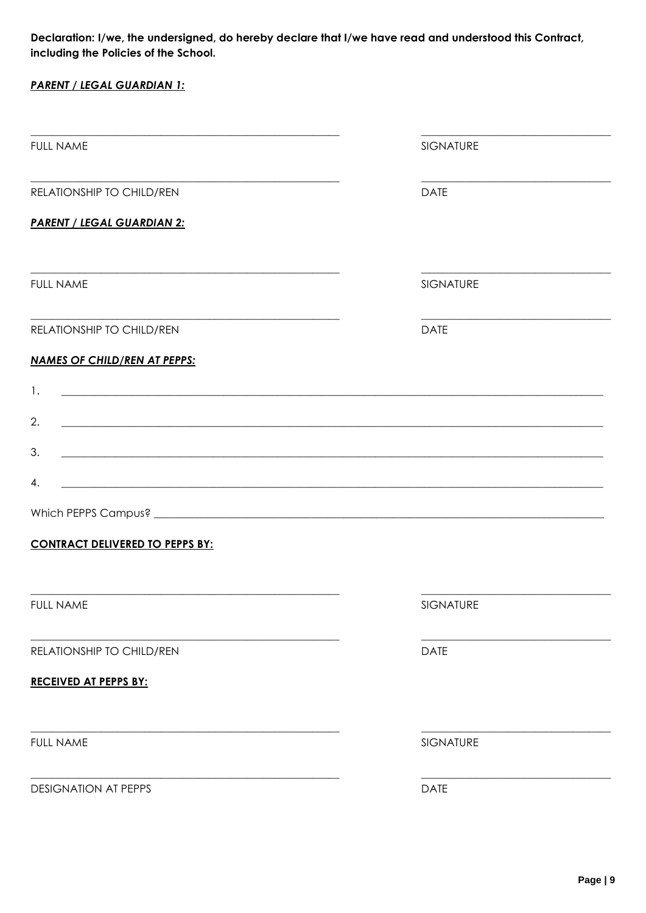Declaration: I/we, the undersigned, do hereby declare that I/we have read and understood this Contract, including the Policies of the School.

| <b>PARENT / LEGAL GUARDIAN 1:</b>                                                                                            |                                                                                                                        |
|------------------------------------------------------------------------------------------------------------------------------|------------------------------------------------------------------------------------------------------------------------|
|                                                                                                                              |                                                                                                                        |
| <b>FULL NAME</b>                                                                                                             | SIGNATURE                                                                                                              |
| RELATIONSHIP TO CHILD/REN                                                                                                    | <b>DATE</b>                                                                                                            |
| <b>PARENT / LEGAL GUARDIAN 2:</b>                                                                                            |                                                                                                                        |
|                                                                                                                              |                                                                                                                        |
| <b>FULL NAME</b>                                                                                                             | SIGNATURE                                                                                                              |
| RELATIONSHIP TO CHILD/REN                                                                                                    | <b>DATE</b>                                                                                                            |
| <b>NAMES OF CHILD/REN AT PEPPS:</b>                                                                                          |                                                                                                                        |
| <u> 1989 - Johann Barn, mars ann an t-Amhain ann an t-Amhain an t-Amhain an t-Amhain an t-Amhain an t-Amhain an t-</u><br>1. |                                                                                                                        |
| 2.                                                                                                                           | ,我们也不能在这里的人,我们也不能在这里的人,我们也不能在这里的人,我们也不能在这里的人,我们也不能在这里的人,我们也不能在这里的人,我们也不能在这里的人,我们也                                      |
| 3.                                                                                                                           | <u> 1989 - Johann Stoff, amerikansk politiker (d. 1989)</u>                                                            |
| 4.                                                                                                                           | <u> 1989 - Johann Stoff, deutscher Stoffen und der Stoffen und der Stoffen und der Stoffen und der Stoffen und der</u> |
|                                                                                                                              |                                                                                                                        |
| <b>CONTRACT DELIVERED TO PEPPS BY:</b>                                                                                       |                                                                                                                        |
|                                                                                                                              |                                                                                                                        |
| <b>FULL NAME</b>                                                                                                             | SIGNATURE                                                                                                              |
| RELATIONSHIP TO CHILD/REN                                                                                                    | <b>DATE</b>                                                                                                            |
| <b>RECEIVED AT PEPPS BY:</b>                                                                                                 |                                                                                                                        |
|                                                                                                                              |                                                                                                                        |
| <b>FULL NAME</b>                                                                                                             | SIGNATURE                                                                                                              |
| <b>DESIGNATION AT PEPPS</b>                                                                                                  | <b>DATE</b>                                                                                                            |